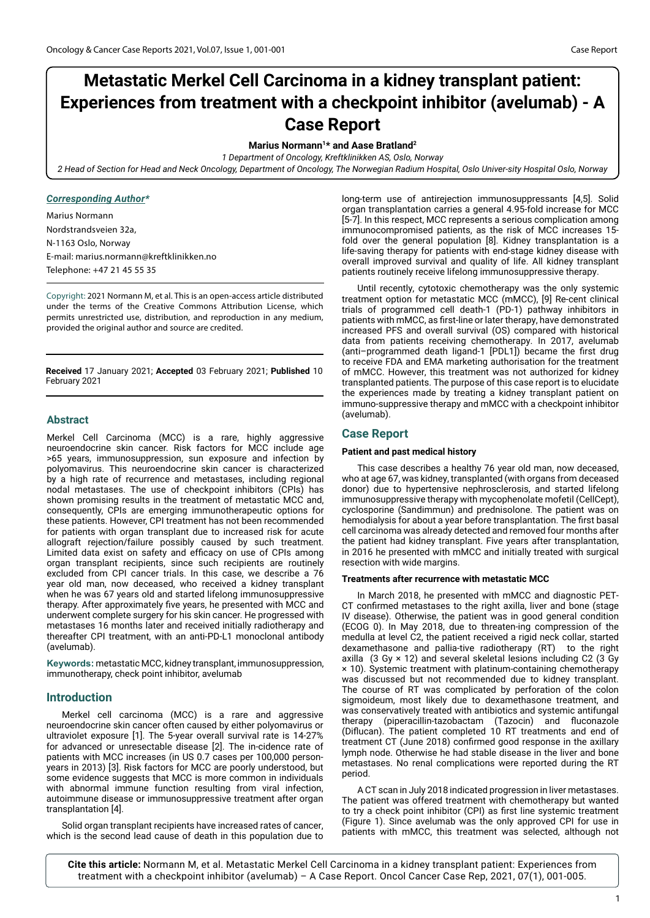# **Metastatic Merkel Cell Carcinoma in a kidney transplant patient: Experiences from treatment with a checkpoint inhibitor (avelumab) - A Case Report**

# **Marius Normann1\* and Aase Bratland2**

*1 Department of Oncology, Kreftklinikken AS, Oslo, Norway*

*2 Head of Section for Head and Neck Oncology, Department of Oncology, The Norwegian Radium Hospital, Oslo Univer-sity Hospital Oslo, Norway*

# *Corresponding Author\**

Marius Normann Nordstrandsveien 32a, N-1163 Oslo, Norway E-mail: [marius.normann@kreftklinikken.no](file:///C:\Users\jayati-c\Desktop\NORWAY\marius.normann@kreftklinikken.no) Telephone: +47 21 45 55 35

Copyright: 2021 Normann M, et al. This is an open-access article distributed under the terms of the Creative Commons Attribution License, which permits unrestricted use, distribution, and reproduction in any medium, provided the original author and source are credited.

**Received** 17 January 2021; **Accepted** 03 February 2021; **Published** 10 February 2021

# **Abstract**

Merkel Cell Carcinoma (MCC) is a rare, highly aggressive neuroendocrine skin cancer. Risk factors for MCC include age >65 years, immunosuppression, sun exposure and infection by polyomavirus. This neuroendocrine skin cancer is characterized by a high rate of recurrence and metastases, including regional nodal metastases. The use of checkpoint inhibitors (CPIs) has shown promising results in the treatment of metastatic MCC and, consequently, CPIs are emerging immunotherapeutic options for these patients. However, CPI treatment has not been recommended for patients with organ transplant due to increased risk for acute allograft rejection/failure possibly caused by such treatment. Limited data exist on safety and efficacy on use of CPIs among organ transplant recipients, since such recipients are routinely excluded from CPI cancer trials. In this case, we describe a 76 year old man, now deceased, who received a kidney transplant when he was 67 years old and started lifelong immunosuppressive therapy. After approximately five years, he presented with MCC and underwent complete surgery for his skin cancer. He progressed with metastases 16 months later and received initially radiotherapy and thereafter CPI treatment, with an anti-PD-L1 monoclonal antibody (avelumab).

**Keywords:** metastatic MCC, kidney transplant, immunosuppression, immunotherapy, check point inhibitor, avelumab

# **Introduction**

Merkel cell carcinoma (MCC) is a rare and aggressive neuroendocrine skin cancer often caused by either polyomavirus or ultraviolet exposure [1]. The 5-year overall survival rate is 14-27% for advanced or unresectable disease [2]. The in-cidence rate of patients with MCC increases (in US 0.7 cases per 100,000 personyears in 2013) [3]. Risk factors for MCC are poorly understood, but some evidence suggests that MCC is more common in individuals with abnormal immune function resulting from viral infection, autoimmune disease or immunosuppressive treatment after organ transplantation [4].

Solid organ transplant recipients have increased rates of cancer, which is the second lead cause of death in this population due to long-term use of antirejection immunosuppressants [4,5]. Solid organ transplantation carries a general 4.95-fold increase for MCC [5-7]. In this respect, MCC represents a serious complication among immunocompromised patients, as the risk of MCC increases 15 fold over the general population [8]. Kidney transplantation is a life-saving therapy for patients with end-stage kidney disease with overall improved survival and quality of life. All kidney transplant patients routinely receive lifelong immunosuppressive therapy.

Until recently, cytotoxic chemotherapy was the only systemic treatment option for metastatic MCC (mMCC), [9] Re-cent clinical trials of programmed cell death-1 (PD-1) pathway inhibitors in patients with mMCC, as first-line or later therapy, have demonstrated increased PFS and overall survival (OS) compared with historical data from patients receiving chemotherapy. In 2017, avelumab (anti–programmed death ligand-1 [PDL1]) became the first drug to receive FDA and EMA marketing authorisation for the treatment of mMCC. However, this treatment was not authorized for kidney transplanted patients. The purpose of this case report is to elucidate the experiences made by treating a kidney transplant patient on immuno-suppressive therapy and mMCC with a checkpoint inhibitor (avelumab).

# **Case Report**

## **Patient and past medical history**

This case describes a healthy 76 year old man, now deceased, who at age 67, was kidney, transplanted (with organs from deceased donor) due to hypertensive nephrosclerosis, and started lifelong immunosuppressive therapy with mycophenolate mofetil (CellCept), cyclosporine (Sandimmun) and prednisolone. The patient was on hemodialysis for about a year before transplantation. The first basal cell carcinoma was already detected and removed four months after the patient had kidney transplant. Five years after transplantation, in 2016 he presented with mMCC and initially treated with surgical resection with wide margins.

## **Treatments after recurrence with metastatic MCC**

In March 2018, he presented with mMCC and diagnostic PET-CT confirmed metastases to the right axilla, liver and bone (stage IV disease). Otherwise, the patient was in good general condition (ECOG 0). In May 2018, due to threaten-ing compression of the medulla at level C2, the patient received a rigid neck collar, started dexamethasone and pallia-tive radiotherapy (RT) to the right axilla  $(3 Gy \times 12)$  and several skeletal lesions including C2  $(3 Gy)$ × 10). Systemic treatment with platinum-containing chemotherapy was discussed but not recommended due to kidney transplant. The course of RT was complicated by perforation of the colon sigmoideum, most likely due to dexamethasone treatment, and was conservatively treated with antibiotics and systemic antifungal therapy (piperacillin-tazobactam (Tazocin) and fluconazole (Diflucan). The patient completed 10 RT treatments and end of treatment CT (June 2018) confirmed good response in the axillary lymph node. Otherwise he had stable disease in the liver and bone metastases. No renal complications were reported during the RT period.

A CT scan in July 2018 indicated progression in liver metastases. The patient was offered treatment with chemotherapy but wanted to try a check point inhibitor (CPI) as first line systemic treatment (Figure 1). Since avelumab was the only approved CPI for use in patients with mMCC, this treatment was selected, although not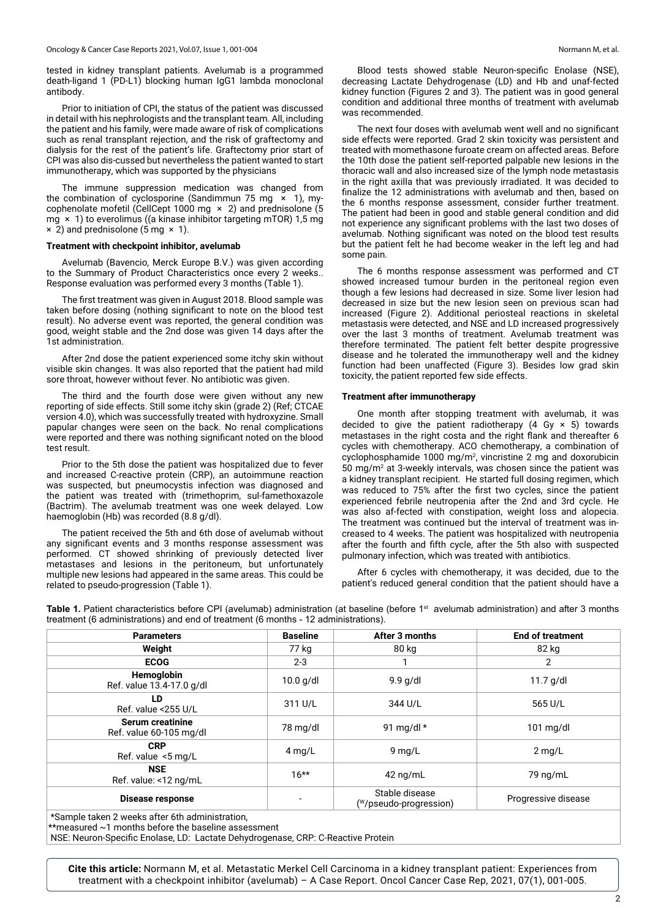tested in kidney transplant patients. Avelumab is a programmed death-ligand 1 (PD-L1) blocking human IgG1 lambda monoclonal antibody.

Prior to initiation of CPI, the status of the patient was discussed in detail with his nephrologists and the transplant team. All, including the patient and his family, were made aware of risk of complications such as renal transplant rejection, and the risk of graftectomy and dialysis for the rest of the patient's life. Graftectomy prior start of CPI was also dis-cussed but nevertheless the patient wanted to start immunotherapy, which was supported by the physicians

The immune suppression medication was changed from the combination of cyclosporine (Sandimmun 75 mg  $\times$  1), mycophenolate mofetil (CellCept 1000 mg × 2) and prednisolone (5 mg × 1) to everolimus ((a kinase inhibitor targeting mTOR) 1,5 mg  $\times$  2) and prednisolone (5 mg  $\times$  1).

#### **Treatment with checkpoint inhibitor, avelumab**

Avelumab (Bavencio, Merck Europe B.V.) was given according to the Summary of Product Characteristics once every 2 weeks.. Response evaluation was performed every 3 months (Table 1).

The first treatment was given in August 2018. Blood sample was taken before dosing (nothing significant to note on the blood test result). No adverse event was reported, the general condition was good, weight stable and the 2nd dose was given 14 days after the 1st administration.

After 2nd dose the patient experienced some itchy skin without visible skin changes. It was also reported that the patient had mild sore throat, however without fever. No antibiotic was given.

The third and the fourth dose were given without any new reporting of side effects. Still some itchy skin (grade 2) (Ref; CTCAE version 4.0), which was successfully treated with hydroxyzine. Small papular changes were seen on the back. No renal complications were reported and there was nothing significant noted on the blood test result.

Prior to the 5th dose the patient was hospitalized due to fever and increased C-reactive protein (CRP), an autoimmune reaction was suspected, but pneumocystis infection was diagnosed and the patient was treated with (trimethoprim, sul-famethoxazole (Bactrim). The avelumab treatment was one week delayed. Low haemoglobin (Hb) was recorded (8.8 g/dl).

The patient received the 5th and 6th dose of avelumab without any significant events and 3 months response assessment was performed. CT showed shrinking of previously detected liver metastases and lesions in the peritoneum, but unfortunately multiple new lesions had appeared in the same areas. This could be related to pseudo-progression (Table 1).

Blood tests showed stable Neuron-specific Enolase (NSE), decreasing Lactate Dehydrogenase (LD) and Hb and unaf-fected kidney function (Figures 2 and 3). The patient was in good general condition and additional three months of treatment with avelumab was recommended.

The next four doses with avelumab went well and no significant side effects were reported. Grad 2 skin toxicity was persistent and treated with momethasone furoate cream on affected areas. Before the 10th dose the patient self-reported palpable new lesions in the thoracic wall and also increased size of the lymph node metastasis in the right axilla that was previously irradiated. It was decided to finalize the 12 administrations with avelumab and then, based on the 6 months response assessment, consider further treatment. The patient had been in good and stable general condition and did not experience any significant problems with the last two doses of avelumab. Nothing significant was noted on the blood test results but the patient felt he had become weaker in the left leg and had some pain.

The 6 months response assessment was performed and CT showed increased tumour burden in the peritoneal region even though a few lesions had decreased in size. Some liver lesion had decreased in size but the new lesion seen on previous scan had increased (Figure 2). Additional periosteal reactions in skeletal metastasis were detected, and NSE and LD increased progressively over the last 3 months of treatment. Avelumab treatment was therefore terminated. The patient felt better despite progressive disease and he tolerated the immunotherapy well and the kidney function had been unaffected (Figure 3). Besides low grad skin toxicity, the patient reported few side effects.

#### **Treatment after immunotherapy**

One month after stopping treatment with avelumab, it was decided to give the patient radiotherapy  $(4 \text{ Gy } \times 5)$  towards metastases in the right costa and the right flank and thereafter 6 cycles with chemotherapy. ACO chemotherapy, a combination of cyclophosphamide 1000 mg/m2 , vincristine 2 mg and doxorubicin 50 mg/m<sup>2</sup> at 3-weekly intervals, was chosen since the patient was a kidney transplant recipient. He started full dosing regimen, which was reduced to 75% after the first two cycles, since the patient experienced febrile neutropenia after the 2nd and 3rd cycle. He was also af-fected with constipation, weight loss and alopecia. The treatment was continued but the interval of treatment was increased to 4 weeks. The patient was hospitalized with neutropenia after the fourth and fifth cycle, after the 5th also with suspected pulmonary infection, which was treated with antibiotics.

After 6 cycles with chemotherapy, it was decided, due to the patient's reduced general condition that the patient should have a

Table 1. Patient characteristics before CPI (avelumab) administration (at baseline (before 1<sup>st</sup> avelumab administration) and after 3 months treatment (6 administrations) and end of treatment (6 months - 12 administrations).

| <b>Parameters</b>                                  | <b>Baseline</b> | After 3 months                           | <b>End of treatment</b> |
|----------------------------------------------------|-----------------|------------------------------------------|-------------------------|
| Weight                                             | 77 kg           | 80 kg                                    | 82 kg                   |
| <b>ECOG</b>                                        | $2 - 3$         |                                          | 2                       |
| Hemoglobin<br>Ref. value 13.4-17.0 g/dl            | $10.0$ g/dl     | $9.9$ g/dl                               | $11.7$ g/dl             |
| LD.<br>Ref. value <255 U/L                         | 311 U/L         | 344 U/L                                  | 565 U/L                 |
| <b>Serum creatinine</b><br>Ref. value 60-105 mg/dl | 78 mg/dl        | 91 mg/dl $*$                             | $101 \text{ mg/dl}$     |
| <b>CRP</b><br>Ref. value $\le$ 5 mg/L              | $4$ mg/L        | $9$ mg/L                                 | $2$ mg/L                |
| <b>NSE</b><br>Ref. value: <12 ng/mL                | $16***$         | $42 \text{ ng/mL}$                       | 79 ng/mL                |
| <b>Disease response</b>                            | -               | Stable disease<br>(W/pseudo-progression) | Progressive disease     |

\*Sample taken 2 weeks after 6th administration,

\*\*measured ~1 months before the baseline assessment

NSE: Neuron-Specific Enolase, LD: Lactate Dehydrogenase, CRP: C-Reactive Protein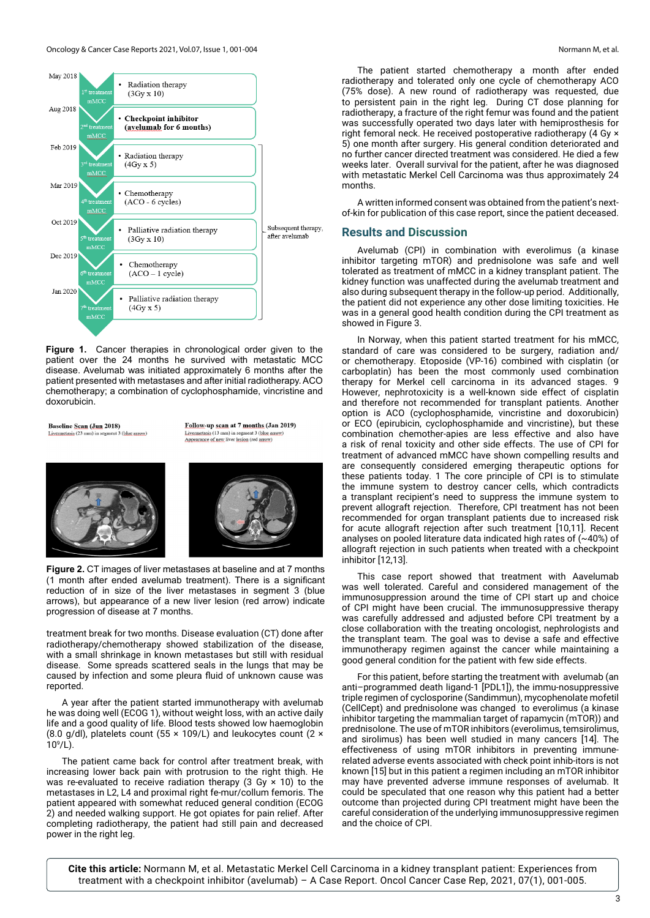

**Figure 1.** Cancer therapies in chronological order given to the patient over the 24 months he survived with metastatic MCC disease. Avelumab was initiated approximately 6 months after the patient presented with metastases and after initial radiotherapy. ACO chemotherapy; a combination of cyclophosphamide, vincristine and doxorubicin.

**Baseline Scan (Jun 2018)** Livermetasis (23 mm) in segment 3 (blue arrow) Follow-up scan at 7 months (Jan 2019) Livermetasis (13 mm) in segment 3 (blue a Annextance of new liver lesion (red arrow)



**Figure 2.** CT images of liver metastases at baseline and at 7 months (1 month after ended avelumab treatment). There is a significant reduction of in size of the liver metastases in segment 3 (blue arrows), but appearance of a new liver lesion (red arrow) indicate progression of disease at 7 months.

treatment break for two months. Disease evaluation (CT) done after radiotherapy/chemotherapy showed stabilization of the disease, with a small shrinkage in known metastases but still with residual disease. Some spreads scattered seals in the lungs that may be caused by infection and some pleura fluid of unknown cause was reported.

A year after the patient started immunotherapy with avelumab he was doing well (ECOG 1), without weight loss, with an active daily life and a good quality of life. Blood tests showed low haemoglobin (8.0 g/dl), platelets count (55  $\times$  109/L) and leukocytes count (2  $\times$  $10^9$ /L).

The patient came back for control after treatment break, with increasing lower back pain with protrusion to the right thigh. He was re-evaluated to receive radiation therapy (3 Gy  $\times$  10) to the metastases in L2, L4 and proximal right fe-mur/collum femoris. The patient appeared with somewhat reduced general condition (ECOG 2) and needed walking support. He got opiates for pain relief. After completing radiotherapy, the patient had still pain and decreased power in the right leg.

The patient started chemotherapy a month after ended radiotherapy and tolerated only one cycle of chemotherapy ACO (75% dose). A new round of radiotherapy was requested, due to persistent pain in the right leg. During CT dose planning for radiotherapy, a fracture of the right femur was found and the patient was successfully operated two days later with hemiprosthesis for right femoral neck. He received postoperative radiotherapy (4 Gy × 5) one month after surgery. His general condition deteriorated and no further cancer directed treatment was considered. He died a few weeks later. Overall survival for the patient, after he was diagnosed with metastatic Merkel Cell Carcinoma was thus approximately 24 months.

A written informed consent was obtained from the patient's nextof-kin for publication of this case report, since the patient deceased.

# **Results and Discussion**

Avelumab (CPI) in combination with everolimus (a kinase inhibitor targeting mTOR) and prednisolone was safe and well tolerated as treatment of mMCC in a kidney transplant patient. The kidney function was unaffected during the avelumab treatment and also during subsequent therapy in the follow-up period. Additionally, the patient did not experience any other dose limiting toxicities. He was in a general good health condition during the CPI treatment as showed in Figure 3.

In Norway, when this patient started treatment for his mMCC, standard of care was considered to be surgery, radiation and/ or chemotherapy. Etoposide (VP-16) combined with cisplatin (or carboplatin) has been the most commonly used combination therapy for Merkel cell carcinoma in its advanced stages. 9 However, nephrotoxicity is a well-known side effect of cisplatin and therefore not recommended for transplant patients. Another option is ACO (cyclophosphamide, vincristine and doxorubicin) or ECO (epirubicin, cyclophosphamide and vincristine), but these combination chemother-apies are less effective and also have a risk of renal toxicity and other side effects. The use of CPI for treatment of advanced mMCC have shown compelling results and are consequently considered emerging therapeutic options for these patients today. 1 The core principle of CPI is to stimulate the immune system to destroy cancer cells, which contradicts a transplant recipient's need to suppress the immune system to prevent allograft rejection. Therefore, CPI treatment has not been recommended for organ transplant patients due to increased risk for acute allograft rejection after such treatment [10,11]. Recent analyses on pooled literature data indicated high rates of (~40%) of allograft rejection in such patients when treated with a checkpoint inhibitor [12,13].

This case report showed that treatment with Aavelumab was well tolerated. Careful and considered management of the immunosuppression around the time of CPI start up and choice of CPI might have been crucial. The immunosuppressive therapy was carefully addressed and adjusted before CPI treatment by a close collaboration with the treating oncologist, nephrologists and the transplant team. The goal was to devise a safe and effective immunotherapy regimen against the cancer while maintaining a good general condition for the patient with few side effects.

For this patient, before starting the treatment with avelumab (an anti–programmed death ligand-1 [PDL1]), the immu-nosuppressive triple regimen of cyclosporine (Sandimmun), mycophenolate mofetil (CellCept) and prednisolone was changed to everolimus (a kinase inhibitor targeting the mammalian target of rapamycin (mTOR)) and prednisolone. The use of mTOR inhibitors (everolimus, temsirolimus, and sirolimus) has been well studied in many cancers [14]. The effectiveness of using mTOR inhibitors in preventing immunerelated adverse events associated with check point inhib-itors is not known [15] but in this patient a regimen including an mTOR inhibitor may have prevented adverse immune responses of avelumab. It could be speculated that one reason why this patient had a better outcome than projected during CPI treatment might have been the careful consideration of the underlying immunosuppressive regimen and the choice of CPI.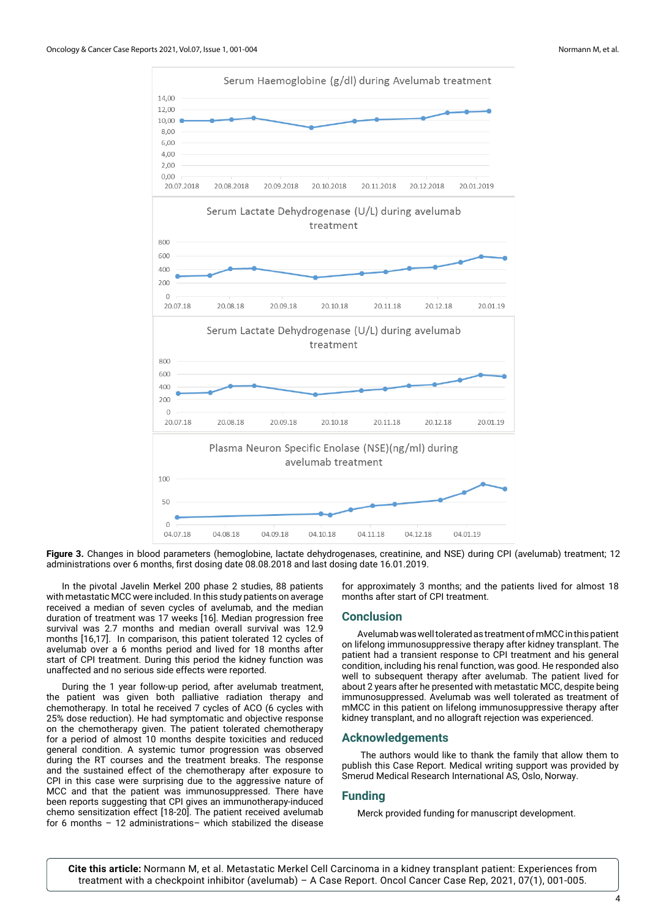

**Figure 3.** Changes in blood parameters (hemoglobine, lactate dehydrogenases, creatinine, and NSE) during CPI (avelumab) treatment; 12 administrations over 6 months, first dosing date 08.08.2018 and last dosing date 16.01.2019.

In the pivotal Javelin Merkel 200 phase 2 studies, 88 patients with metastatic MCC were included. In this study patients on average received a median of seven cycles of avelumab, and the median duration of treatment was 17 weeks [16]. Median progression free survival was 2.7 months and median overall survival was 12.9 months [16,17]. In comparison, this patient tolerated 12 cycles of avelumab over a 6 months period and lived for 18 months after start of CPI treatment. During this period the kidney function was unaffected and no serious side effects were reported.

During the 1 year follow-up period, after avelumab treatment, the patient was given both palliative radiation therapy and chemotherapy. In total he received 7 cycles of ACO (6 cycles with 25% dose reduction). He had symptomatic and objective response on the chemotherapy given. The patient tolerated chemotherapy for a period of almost 10 months despite toxicities and reduced general condition. A systemic tumor progression was observed during the RT courses and the treatment breaks. The response and the sustained effect of the chemotherapy after exposure to CPI in this case were surprising due to the aggressive nature of MCC and that the patient was immunosuppressed. There have been reports suggesting that CPI gives an immunotherapy-induced chemo sensitization effect [18-20]. The patient received avelumab for 6 months – 12 administrations– which stabilized the disease

for approximately 3 months; and the patients lived for almost 18 months after start of CPI treatment.

## **Conclusion**

Avelumab was well tolerated as treatment of mMCC in this patient on lifelong immunosuppressive therapy after kidney transplant. The patient had a transient response to CPI treatment and his general condition, including his renal function, was good. He responded also well to subsequent therapy after avelumab. The patient lived for about 2 years after he presented with metastatic MCC, despite being immunosuppressed. Avelumab was well tolerated as treatment of mMCC in this patient on lifelong immunosuppressive therapy after kidney transplant, and no allograft rejection was experienced.

# **Acknowledgements**

 The authors would like to thank the family that allow them to publish this Case Report. Medical writing support was provided by Smerud Medical Research International AS, Oslo, Norway.

## **Funding**

Merck provided funding for manuscript development.